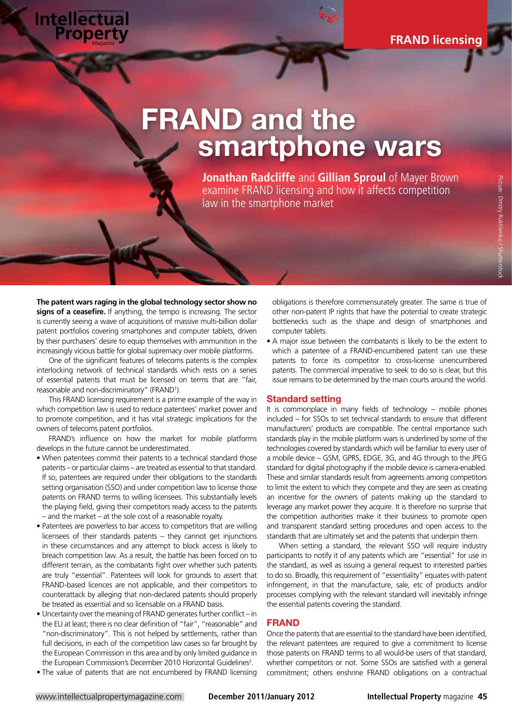# FRAND and the smartphone wars

**Jonathan Radcliffe** and **Gillian Sproul** of Mayer Brown examine FRAND licensing and how it affects competition law in the smartphone market

**The patent wars raging in the global technology sector show no signs of a ceasefire.** If anything, the tempo is increasing. The sector is currently seeing a wave of acquisitions of massive multi-billion dollar patent portfolios covering smartphones and computer tablets, driven by their purchasers' desire to equip themselves with ammunition in the increasingly vicious battle for global supremacy over mobile platforms.

**Intellectual**<br>Property

One of the significant features of telecoms patents is the complex interlocking network of technical standards which rests on a series of essential patents that must be licensed on terms that are "fair, reasonable and non-discriminatory" (FRAND<sup>1</sup>).

This FRAND licensing requirement is a prime example of the way in which competition law is used to reduce patentees' market power and to promote competition, and it has vital strategic implications for the owners of telecoms patent portfolios.

FRAND's influence on how the market for mobile platforms develops in the future cannot be underestimated.

- When patentees commit their patents to a technical standard those patents – or particular claims – are treated as essential to that standard. If so, patentees are required under their obligations to the standards setting organisation (SSO) and under competition law to license those patents on FRAND terms to willing licensees. This substantially levels the playing field, giving their competitors ready access to the patents – and the market – at the sole cost of a reasonable royalty.
- Patentees are powerless to bar access to competitors that are willing licensees of their standards patents – they cannot get injunctions in these circumstances and any attempt to block access is likely to breach competition law. As a result, the battle has been forced on to different terrain, as the combatants fight over whether such patents are truly "essential". Patentees will look for grounds to assert that FRAND-based licences are not applicable, and their competitors to counterattack by alleging that non-declared patents should properly be treated as essential and so licensable on a FRAND basis.
- Uncertainty over the meaning of FRAND generates further conflict in the EU at least; there is no clear definition of "fair", "reasonable" and "non-discriminatory". This is not helped by settlements, rather than full decisions, in each of the competition law cases so far brought by the European Commission in this area and by only limited guidance in the European Commission's December 2010 Horizontal Guidelines<sup>2</sup>.
- The value of patents that are not encumbered by FRAND licensing

obligations is therefore commensurately greater. The same is true of other non-patent IP rights that have the potential to create strategic bottlenecks such as the shape and design of smartphones and computer tablets.

• A major issue between the combatants is likely to be the extent to which a patentee of a FRAND-encumbered patent can use these patents to force its competitor to cross-license unencumbered patents. The commercial imperative to seek to do so is clear, but this issue remains to be determined by the main courts around the world.

# Standard setting

It is commonplace in many fields of technology – mobile phones included – for SSOs to set technical standards to ensure that different manufacturers' products are compatible. The central importance such standards play in the mobile platform wars is underlined by some of the technologies covered by standards which will be familiar to every user of a mobile device – GSM, GPRS, EDGE, 3G, and 4G through to the JPEG standard for digital photography if the mobile device is camera-enabled. These and similar standards result from agreements among competitors to limit the extent to which they compete and they are seen as creating an incentive for the owners of patents making up the standard to leverage any market power they acquire. It is therefore no surprise that the competition authorities make it their business to promote open and transparent standard setting procedures and open access to the standards that are ultimately set and the patents that underpin them.

When setting a standard, the relevant SSO will require industry participants to notify it of any patents which are "essential" for use in the standard, as well as issuing a general request to interested parties to do so. Broadly, this requirement of "essentiality" equates with patent infringement, in that the manufacture, sale, etc of products and/or processes complying with the relevant standard will inevitably infringe the essential patents covering the standard.

### FRAND

Once the patents that are essential to the standard have been identified, the relevant patentees are required to give a commitment to license those patents on FRAND terms to all would-be users of that standard, whether competitors or not. Some SSOs are satisfied with a general commitment; others enshrine FRAND obligations on a contractual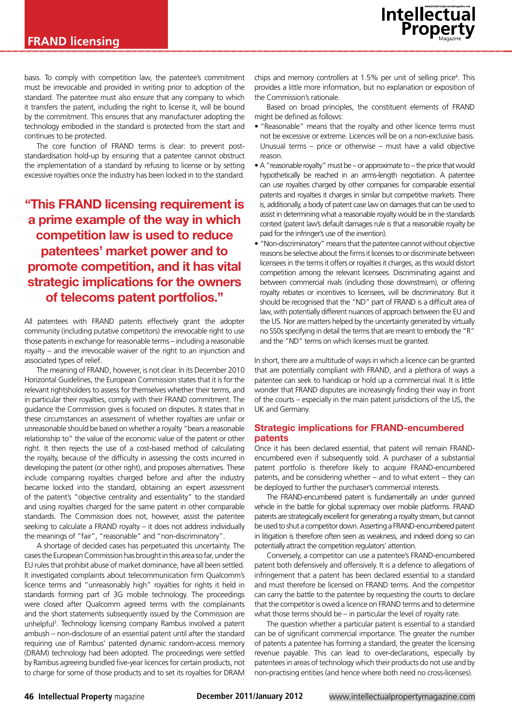

basis. To comply with competition law, the patentee's commitment must be irrevocable and provided in writing prior to adoption of the standard. The patentee must also ensure that any company to which it transfers the patent, including the right to license it, will be bound by the commitment. This ensures that any manufacturer adopting the technology embodied in the standard is protected from the start and continues to be protected.

The core function of FRAND terms is clear: to prevent poststandardisation hold-up by ensuring that a patentee cannot obstruct the implementation of a standard by refusing to license or by setting excessive royalties once the industry has been locked in to the standard.

"This FRAND licensing requirement is a prime example of the way in which competition law is used to reduce patentees' market power and to promote competition, and it has vital strategic implications for the owners of telecoms patent portfolios."

All patentees with FRAND patents effectively grant the adopter community (including putative competitors) the irrevocable right to use those patents in exchange for reasonable terms – including a reasonable royalty – and the irrevocable waiver of the right to an injunction and associated types of relief.

The meaning of FRAND, however, is not clear. In its December 2010 Horizontal Guidelines, the European Commission states that it is for the relevant rightsholders to assess for themselves whether their terms, and in particular their royalties, comply with their FRAND commitment. The guidance the Commission gives is focused on disputes. It states that in these circumstances an assessment of whether royalties are unfair or unreasonable should be based on whether a royalty "bears a reasonable relationship to" the value of the economic value of the patent or other right. It then rejects the use of a cost-based method of calculating the royalty, because of the difficulty in assessing the costs incurred in developing the patent (or other right), and proposes alternatives. These include comparing royalties charged before and after the industry became locked into the standard, obtaining an expert assessment of the patent's "objective centrality and essentiality" to the standard and using royalties charged for the same patent in other comparable standards. The Commission does not, however, assist the patentee seeking to calculate a FRAND royalty – it does not address individually the meanings of "fair", "reasonable" and "non-discriminatory".

A shortage of decided cases has perpetuated this uncertainty. The cases the European Commission has brought in this area so far, under the EU rules that prohibit abuse of market dominance, have all been settled. It investigated complaints about telecommunication firm Qualcomm's licence terms and "unreasonably high" royalties for rights it held in standards forming part of 3G mobile technology. The proceedings were closed after Qualcomm agreed terms with the complainants and the short statements subsequently issued by the Commission are unhelpful<sup>3</sup>. Technology licensing company Rambus involved a patent ambush – non-disclosure of an essential patent until after the standard requiring use of Rambus' patented dynamic random-access memory (DRAM) technology had been adopted. The proceedings were settled by Rambus agreeing bundled five-year licences for certain products, not to charge for some of those products and to set its royalties for DRAM

chips and memory controllers at 1.5% per unit of selling price<sup>4</sup>. This provides a little more information, but no explanation or exposition of the Commission's rationale.

Based on broad principles, the constituent elements of FRAND might be defined as follows:

- "Reasonable" means that the royalty and other licence terms must not be excessive or extreme. Licences will be on a non-exclusive basis. Unusual terms – price or otherwise – must have a valid objective reason.
- A "reasonable royalty" must be or approximate to the price that would hypothetically be reached in an arms-length negotiation. A patentee can use royalties charged by other companies for comparable essential patents and royalties it charges in similar but competitive markets. There is, additionally, a body of patent case law on damages that can be used to assist in determining what a reasonable royalty would be in the standards context (patent law's default damages rule is that a reasonable royalty be paid for the infringer's use of the invention).
- "Non-discriminatory" means that the patentee cannot without objective reasons be selective about the firms it licenses to or discriminate between licensees in the terms it offers or royalties it charges, as this would distort competition among the relevant licensees. Discriminating against and between commercial rivals (including those downstream), or offering royalty rebates or incentives to licensees, will be discriminatory. But it should be recognised that the "ND" part of FRAND is a difficult area of law, with potentially different nuances of approach between the EU and the US. Nor are matters helped by the uncertainty generated by virtually no SS0s specifying in detail the terms that are meant to embody the "R" and the "ND" terms on which licenses must be granted.

In short, there are a multitude of ways in which a licence can be granted that are potentially compliant with FRAND, and a plethora of ways a patentee can seek to handicap or hold up a commercial rival. It is little wonder that FRAND disputes are increasingly finding their way in front of the courts – especially in the main patent jurisdictions of the US, the UK and Germany.

# Strategic implications for FRAND-encumbered patents

Once it has been declared essential, that patent will remain FRANDencumbered even if subsequently sold. A purchaser of a substantial patent portfolio is therefore likely to acquire FRAND-encumbered patents, and be considering whether – and to what extent – they can be deployed to further the purchaser's commercial interests.

The FRAND-encumbered patent is fundamentally an under gunned vehicle in the battle for global supremacy over mobile platforms. FRAND patents are strategically excellent for generating a royalty stream, but cannot be used to shut a competitor down. Asserting a FRAND-encumbered patent in litigation is therefore often seen as weakness, and indeed doing so can potentially attract the competition regulators' attention.

Conversely, a competitor can use a patentee's FRAND-encumbered patent both defensively and offensively. It is a defence to allegations of infringement that a patent has been declared essential to a standard and must therefore be licensed on FRAND terms. And the competitor can carry the battle to the patentee by requesting the courts to declare that the competitor is owed a licence on FRAND terms and to determine what those terms should be – in particular the level of royalty rate.

The question whether a particular patent is essential to a standard can be of significant commercial importance. The greater the number of patents a patentee has forming a standard, the greater the licensing revenue payable. This can lead to over-declarations, especially by patentees in areas of technology which their products do not use and by non-practising entities (and hence where both need no cross-licenses).